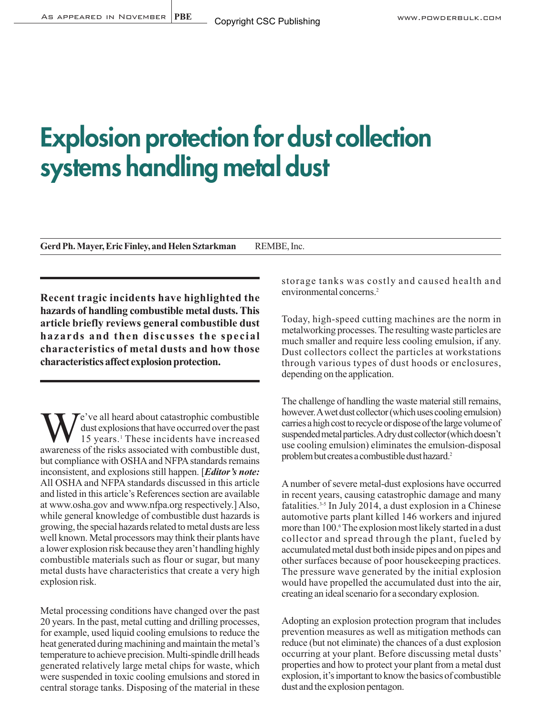# **Explosion protection for dust collection systems handling metal dust**

**Gerd Ph. Mayer, Eric Finley, and Helen Sztarkman** REMBE, Inc.

**Recent tragic incidents have highlighted the hazards of handling combustible metal dusts. This article briefly reviews general combustible dust hazards and then discusses the special characteristics of metal dusts and how those characteristics affect explosion protection.** 

We've all heard about catastrophic combustible<br>dust explosions that have occurred over the past<br>awareness of the risks associated with combustible dust dust explosions that have occurred over the past awareness of the risks associated with combustible dust, but compliance with OSHA and NFPA standards remains inconsistent, and explosions still happen. [*Editor's note:* All OSHA and NFPA standards discussed in this article and listed in this article's References section are available at www.osha.gov and www.nfpa.org respectively.] Also, while general knowledge of combustible dust hazards is growing, the special hazards related to metal dusts are less well known. Metal processors may think their plants have a lower explosion risk because they aren't handling highly combustible materials such as flour or sugar, but many metal dusts have characteristics that create a very high explosion risk.

Metal processing conditions have changed over the past 20 years. In the past, metal cutting and drilling processes, for example, used liquid cooling emulsions to reduce the heat generated during machining and maintain the metal's temperature to achieve precision. Multi-spindle drill heads generated relatively large metal chips for waste, which were suspended in toxic cooling emulsions and stored in central storage tanks. Disposing of the material in these storage tanks was costly and caused health and environmental concerns.2

Today, high-speed cutting machines are the norm in metalworking processes. The resulting waste particles are much smaller and require less cooling emulsion, if any. Dust collectors collect the particles at workstations through various types of dust hoods or enclosures, depending on the application.

The challenge of handling the waste material still remains, however. A wet dust collector (which uses cooling emulsion) carries a high cost to recycle or dispose of the large volume of suspended metal particles. A dry dust collector (which doesn't use cooling emulsion) eliminates the emulsion-disposal problem but creates a combustible dust hazard.2

A number of severe metal-dust explosions have occurred in recent years, causing catastrophic damage and many fatalities.3-5 In July 2014, a dust explosion in a Chinese automotive parts plant killed 146 workers and injured more than 100.<sup>6</sup> The explosion most likely started in a dust collector and spread through the plant, fueled by accumulated metal dust both inside pipes and on pipes and other surfaces because of poor housekeeping practices. The pressure wave generated by the initial explosion would have propelled the accumulated dust into the air, creating an ideal scenario for a secondary explosion.

Adopting an explosion protection program that includes prevention measures as well as mitigation methods can reduce (but not eliminate) the chances of a dust explosion occurring at your plant. Before discussing metal dusts' properties and how to protect your plant from a metal dust explosion, it's important to know the basics of combustible dust and the explosion pentagon.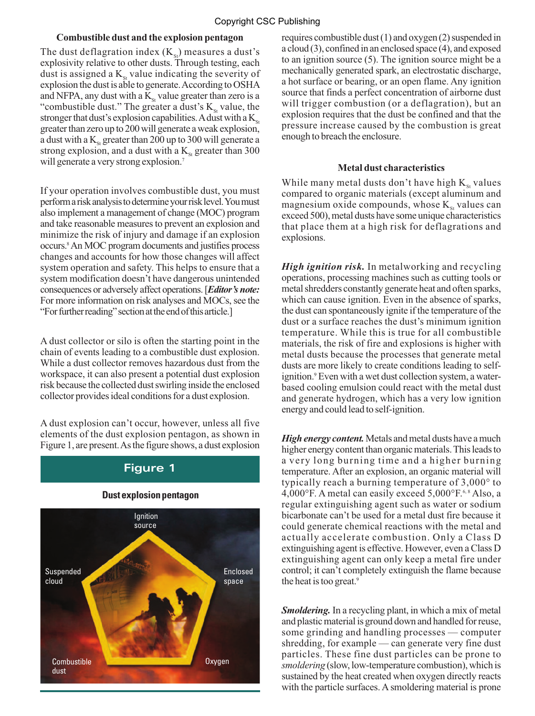## **Combustible dust and the explosion pentagon**

The dust deflagration index  $(K_{st})$  measures a dust's explosivity relative to other dusts. Through testing, each dust is assigned a  $K_{\rm st}$  value indicating the severity of explosion the dust is able to generate. According to OSHA and NFPA, any dust with a  $K_{\rm st}$  value greater than zero is a "combustible dust." The greater a dust's  $K_{\rm st}$  value, the stronger that dust's explosion capabilities. A dust with a  $K_{\rm st}$ greater than zero up to 200 will generate a weak explosion, a dust with a  $K_{\rm{ss}}$  greater than 200 up to 300 will generate a strong explosion, and a dust with a  $K_{st}$  greater than 300 will generate a very strong explosion.<sup>7</sup>

If your operation involves combustible dust, you must perform a risk analysis to determine your risk level. You must also implement a management of change (MOC) program and take reasonable measures to prevent an explosion and minimize the risk of injury and damage if an explosion occurs.8An MOC program documents and justifies process changes and accounts for how those changes will affect system operation and safety. This helps to ensure that a system modification doesn't have dangerous unintended consequences or adversely affect operations. [*Editor's note:* For more information on risk analyses and MOCs, see the "For further reading" section at the end of this article.]

A dust collector or silo is often the starting point in the chain of events leading to a combustible dust explosion. While a dust collector removes hazardous dust from the workspace, it can also present a potential dust explosion risk because the collected dust swirling inside the enclosed collector provides ideal conditions for a dust explosion.

A dust explosion can't occur, however, unless all five elements of the dust explosion pentagon, as shown in Figure 1, are present. As the figure shows, a dust explosion

## **Figure 1**

## **Dust explosion pentagon**



requires combustible dust (1) and oxygen (2) suspended in a cloud (3), confined in an enclosed space (4), and exposed to an ignition source (5). The ignition source might be a mechanically generated spark, an electrostatic discharge, a hot surface or bearing, or an open flame. Any ignition source that finds a perfect concentration of airborne dust will trigger combustion (or a deflagration), but an explosion requires that the dust be confined and that the pressure increase caused by the combustion is great enough to breach the enclosure.

### **Metal dust characteristics**

While many metal dusts don't have high  $K_{st}$  values compared to organic materials (except aluminum and magnesium oxide compounds, whose  $K_{st}$  values can exceed 500), metal dusts have some unique characteristics that place them at a high risk for deflagrations and explosions.

*High ignition risk.* In metalworking and recycling operations, processing machines such as cutting tools or metal shredders constantly generate heat and often sparks, which can cause ignition. Even in the absence of sparks, the dust can spontaneously ignite if the temperature of the dust or a surface reaches the dust's minimum ignition temperature. While this is true for all combustible materials, the risk of fire and explosions is higher with metal dusts because the processes that generate metal dusts are more likely to create conditions leading to selfignition.<sup>9</sup> Even with a wet dust collection system, a waterbased cooling emulsion could react with the metal dust and generate hydrogen, which has a very low ignition energy and could lead to self-ignition.

*High energy content.* Metals and metal dusts have a much higher energy content than organic materials. This leads to a very long burning time and a higher burning temperature. After an explosion, an organic material will typically reach a burning temperature of 3,000° to 4,000 $\mathrm{P}$ . A metal can easily exceed 5,000 $\mathrm{P}$ .<sup>6,8</sup> Also, a regular extinguishing agent such as water or sodium bicarbonate can't be used for a metal dust fire because it could generate chemical reactions with the metal and actually accelerate combustion. Only a Class D extinguishing agent is effective. However, even a Class D extinguishing agent can only keep a metal fire under control; it can't completely extinguish the flame because the heat is too great.<sup>9</sup>

*Smoldering.* In a recycling plant, in which a mix of metal and plastic material is ground down and handled for reuse, some grinding and handling processes — computer shredding, for example — can generate very fine dust particles. These fine dust particles can be prone to *smoldering* (slow, low-temperature combustion), which is sustained by the heat created when oxygen directly reacts with the particle surfaces. A smoldering material is prone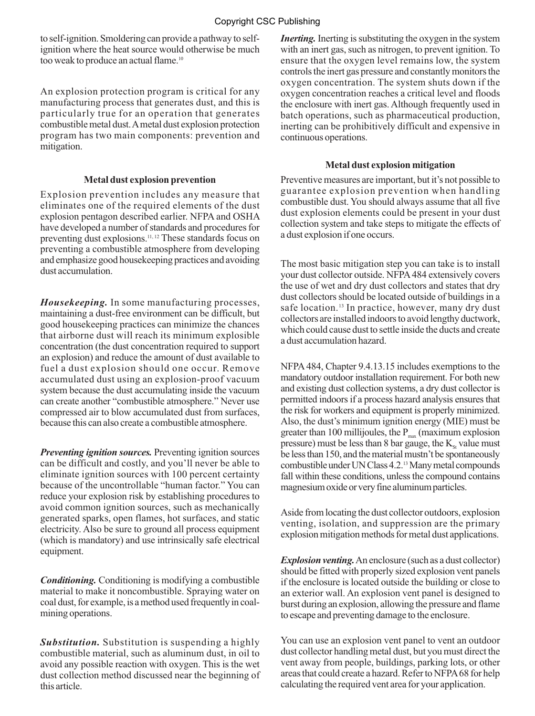to self-ignition. Smoldering can provide a pathway to selfignition where the heat source would otherwise be much too weak to produce an actual flame.<sup>10</sup>

An explosion protection program is critical for any manufacturing process that generates dust, and this is particularly true for an operation that generates combustible metal dust. A metal dust explosion protection program has two main components: prevention and mitigation.

### **Metal dust explosion prevention**

Explosion prevention includes any measure that eliminates one of the required elements of the dust explosion pentagon described earlier. NFPA and OSHA have developed a number of standards and procedures for preventing dust explosions.<sup>11, 12</sup> These standards focus on preventing a combustible atmosphere from developing and emphasize good housekeeping practices and avoiding dust accumulation.

*Housekeeping.* In some manufacturing processes, maintaining a dust-free environment can be difficult, but good housekeeping practices can minimize the chances that airborne dust will reach its minimum explosible concentration (the dust concentration required to support an explosion) and reduce the amount of dust available to fuel a dust explosion should one occur. Remove accumulated dust using an explosion-proof vacuum system because the dust accumulating inside the vacuum can create another "combustible atmosphere." Never use compressed air to blow accumulated dust from surfaces, because this can also create a combustible atmosphere.

*Preventing ignition sources.* Preventing ignition sources can be difficult and costly, and you'll never be able to eliminate ignition sources with 100 percent certainty because of the uncontrollable "human factor." You can reduce your explosion risk by establishing procedures to avoid common ignition sources, such as mechanically generated sparks, open flames, hot surfaces, and static electricity. Also be sure to ground all process equipment (which is mandatory) and use intrinsically safe electrical equipment.

*Conditioning.* Conditioning is modifying a combustible material to make it noncombustible. Spraying water on coal dust, for example, is a method used frequently in coalmining operations.

*Substitution.* Substitution is suspending a highly combustible material, such as aluminum dust, in oil to avoid any possible reaction with oxygen. This is the wet dust collection method discussed near the beginning of this article.

*Inerting.* Inerting is substituting the oxygen in the system with an inert gas, such as nitrogen, to prevent ignition. To ensure that the oxygen level remains low, the system controls the inert gas pressure and constantly monitors the oxygen concentration. The system shuts down if the oxygen concentration reaches a critical level and floods the enclosure with inert gas. Although frequently used in batch operations, such as pharmaceutical production, inerting can be prohibitively difficult and expensive in continuous operations.

### **Metal dust explosion mitigation**

Preventive measures are important, but it's not possible to guarantee explosion prevention when handling combustible dust. You should always assume that all five dust explosion elements could be present in your dust collection system and take steps to mitigate the effects of a dust explosion if one occurs.

The most basic mitigation step you can take is to install your dust collector outside. NFPA 484 extensively covers the use of wet and dry dust collectors and states that dry dust collectors should be located outside of buildings in a safe location.<sup>13</sup> In practice, however, many dry dust collectors are installed indoors to avoid lengthy ductwork, which could cause dust to settle inside the ducts and create a dust accumulation hazard.

NFPA 484, Chapter 9.4.13.15 includes exemptions to the mandatory outdoor installation requirement. For both new and existing dust collection systems, a dry dust collector is permitted indoors if a process hazard analysis ensures that the risk for workers and equipment is properly minimized. Also, the dust's minimum ignition energy (MIE) must be greater than 100 millijoules, the  $P_{\text{max}}$  (maximum explosion pressure) must be less than 8 bar gauge, the  $K_{s}$  value must be less than 150, and the material mustn't be spontaneously combustible under UN Class 4.2.13Many metal compounds fall within these conditions, unless the compound contains magnesium oxide or very fine aluminum particles.

Aside from locating the dust collector outdoors, explosion venting, isolation, and suppression are the primary explosion mitigation methods for metal dust applications.

*Explosion venting.*An enclosure (such as a dust collector) should be fitted with properly sized explosion vent panels if the enclosure is located outside the building or close to an exterior wall. An explosion vent panel is designed to burst during an explosion, allowing the pressure and flame to escape and preventing damage to the enclosure.

You can use an explosion vent panel to vent an outdoor dust collector handling metal dust, but you must direct the vent away from people, buildings, parking lots, or other areas that could create a hazard. Refer to NFPA 68 for help calculating the required vent area for your application.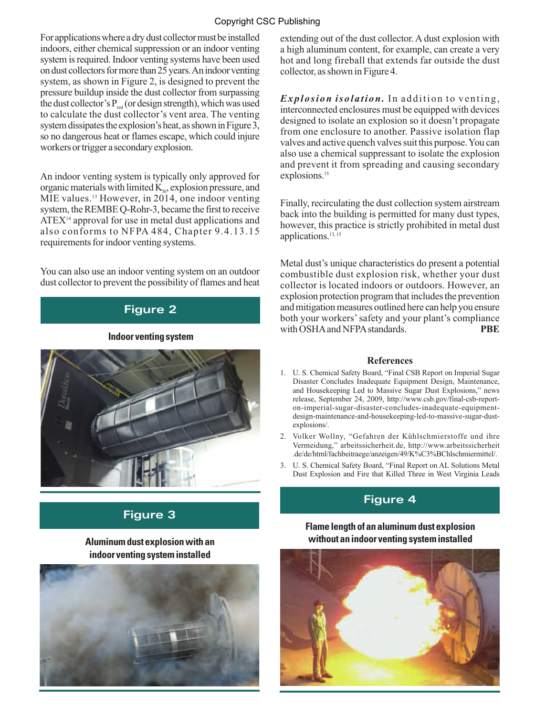## Copyright CSC Publishing

For applications where a dry dust collector must be installed indoors, either chemical suppression or an indoor venting system is required. Indoor venting systems have been used on dust collectors for more than 25 years. An indoor venting system, as shown in Figure 2, is designed to prevent the pressure buildup inside the dust collector from surpassing the dust collector's  $P_{red}$  (or design strength), which was used to calculate the dust collector's vent area. The venting system dissipates the explosion's heat, as shown in Figure 3, so no dangerous heat or flames escape, which could injure workers or trigger a secondary explosion.

An indoor venting system is typically only approved for organic materials with limited  $K<sub>st</sub>$ , explosion pressure, and MIE values.13 However, in 2014, one indoor venting system, the REMBE Q-Rohr-3, became the first to receive  $ATEX<sup>14</sup>$  approval for use in metal dust applications and also conforms to NFPA 484, Chapter 9.4.13.15 requirements for indoor venting systems.

You can also use an indoor venting system on an outdoor dust collector to prevent the possibility of flames and heat

## **Figure 2**

#### **Indoor venting system**



# **Figure 3**

## **Aluminum dust explosion with an indoor venting system installed**



extending out of the dust collector. A dust explosion with a high aluminum content, for example, can create a very hot and long fireball that extends far outside the dust collector, as shown in Figure 4.

*Explosion isolation.* In addition to venting, interconnected enclosures must be equipped with devices designed to isolate an explosion so it doesn't propagate from one enclosure to another. Passive isolation flap valves and active quench valves suit this purpose. You can also use a chemical suppressant to isolate the explosion and prevent it from spreading and causing secondary explosions.<sup>15</sup>

Finally, recirculating the dust collection system airstream back into the building is permitted for many dust types, however, this practice is strictly prohibited in metal dust applications.13, 15

Metal dust's unique characteristics do present a potential combustible dust explosion risk, whether your dust collector is located indoors or outdoors. However, an explosion protection program that includes the prevention and mitigation measures outlined here can help you ensure both your workers' safety and your plant's compliance with OSHA and NFPA standards. **PBE** 

#### **References**

- 1. U. S. Chemical Safety Board, "Final CSB Report on Imperial Sugar Disaster Concludes Inadequate Equipment Design, Maintenance, and Housekeeping Led to Massive Sugar Dust Explosions," news release, September 24, 2009, http://www.csb.gov/final-csb-reporton-imperial-sugar-disaster-concludes-inadequate-equipmentdesign-maintenance-and-housekeeping-led-to-massive-sugar-dustexplosions/.
- 2. Volker Wollny, "Gefahren der Kühlschmierstoffe und ihre Vermeidung," arbeitssicherheit.de, http://www.arbeitssicherheit .de/de/html/fachbeitraege/anzeigen/49/K%C3%BChlschmiermittel/.
- 3. U. S. Chemical Safety Board, "Final Report on AL Solutions Metal Dust Explosion and Fire that Killed Three in West Virginia Leads

## **Figure 4**

## **Flame length of an aluminum dust explosion without an indoor venting system installed**